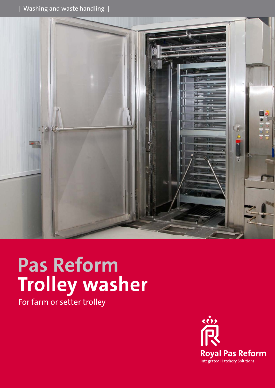

# **Pas Reform Trolley washer**

For farm or setter trolley